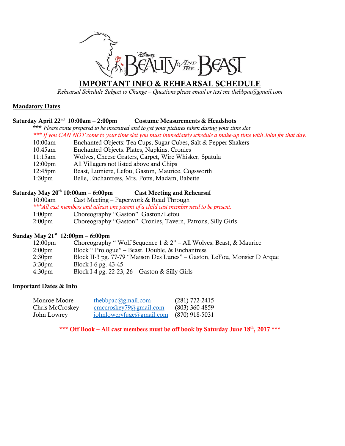

# **IMPORTANT INFO & REHEARSAL SCHEDULE**

*Rehearsal Schedule Subject to Change – Questions please email or text me thebbpac@gmail.com*

# **Mandatory Dates**

#### **Saturday April 22nd Costume Measurements & Headshots**

\*\*\* *Please come prepared to be measured and to get your pictures taken during your time slot \*\*\* If you CAN NOT come to your time slot you must immediately schedule a make-up time with John for that day.* 

- 10:00am Enchanted Objects: Tea Cups, Sugar Cubes, Salt & Pepper Shakers
- 10:45am Enchanted Objects: Plates, Napkins, Cronies
- 11:15am Wolves, Cheese Graters, Carpet, Wire Whisker, Spatula
- 12:00pm All Villagers not listed above and Chips
- 12:45pm Beast, Lumiere, Lefou, Gaston, Maurice, Cogsworth
- 1:30pm Belle, Enchantress, Mrs. Potts, Madam, Babette

# **Saturday May 20th 10:00am – 6:00pm Cast Meeting and Rehearsal**

10:00am Cast Meeting – Paperwork & Read Through

*\*\*\*All cast members and atleast one parent of a child cast member need to be present.* 

- 1:00pm Choreography "Gaston" Gaston/Lefou
- 2:00pm Choreography "Gaston" Cronies, Tavern, Patrons, Silly Girls

# **Sunday May 21st 12:00pm – 6:00pm**

| 12:00 <sub>pm</sub> | Choreography "Wolf Sequence $1 \& 2"$ – All Wolves, Beast, & Maurice     |
|---------------------|--------------------------------------------------------------------------|
| 2:00 <sub>pm</sub>  | Block "Prologue" – Beast, Double, & Enchantress                          |
| 2:30 <sub>pm</sub>  | Block II-3 pg. 77-79 "Maison Des Lunes" – Gaston, LeFou, Monsier D Arque |
| 3:30 <sub>pm</sub>  | Block I-6 pg. 43-45                                                      |
| 4:30 <sub>pm</sub>  | Block I-4 pg. 22-23, $26 -$ Gaston & Silly Girls                         |
|                     |                                                                          |

### **Important Dates & Info**

| Monroe Moore    | thebbpac@gmail.com        | $(281)$ 772-2415 |
|-----------------|---------------------------|------------------|
| Chris McCroskey | $cmccroskey79$ @gmail.com | $(803)$ 360-4859 |
| John Lowrey     | johnloweryfuge@gmail.com  | $(870)$ 918-5031 |

**\*\*\* Off Book – All cast members must be off book by Saturday June 18th, 2017 \*\*\***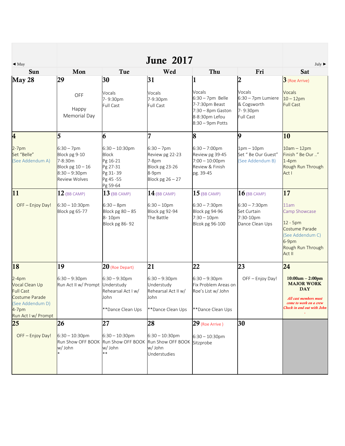| $\triangleleft$ May                                                                            |                                                                                                             |                                                                                                 | <b>June 2017</b>                                                                           |                                                                                                               |                                                                             | July $\blacktriangleright$                                                                                                             |
|------------------------------------------------------------------------------------------------|-------------------------------------------------------------------------------------------------------------|-------------------------------------------------------------------------------------------------|--------------------------------------------------------------------------------------------|---------------------------------------------------------------------------------------------------------------|-----------------------------------------------------------------------------|----------------------------------------------------------------------------------------------------------------------------------------|
| Sun                                                                                            | Mon                                                                                                         | Tue                                                                                             | Wed                                                                                        | Thu                                                                                                           | Fri                                                                         | Sat                                                                                                                                    |
| May 28                                                                                         | 29                                                                                                          | 30                                                                                              | 31                                                                                         |                                                                                                               | $\overline{2}$                                                              | $3$ (Roe Arrive)                                                                                                                       |
|                                                                                                | OFF<br>Happy<br>Memorial Day                                                                                | Vocals<br>7-9:30pm<br>Full Cast                                                                 | Vocals<br>7-9:30pm<br>Full Cast                                                            | Vocals<br>$6:30 - 7$ pm Belle<br>7-7:30pm Beast<br>$7:30 - 8$ pm Gaston<br>8-8:30pm Lefou<br>8:30 - 9pm Potts | Vocals<br>6:30 - 7pm Lumiere<br>& Cogsworth<br>7-9:30pm<br><b>Full Cast</b> | <b>Vocals</b><br>$10 - 12$ pm<br><b>Full Cast</b>                                                                                      |
| $\overline{\mathbf{4}}$                                                                        | 5                                                                                                           | 6                                                                                               | $\overline{7}$                                                                             | 8                                                                                                             | 9                                                                           | 10                                                                                                                                     |
| $2-7$ pm<br>Set "Belle"<br>(See Addendum A)                                                    | $6:30 - 7$ pm<br>Block pg 9-10<br>7-8:30m<br>Block pg $10 - 16$<br>$8:30 - 9:30$ pm<br><b>Review Wolves</b> | $6:30 - 10:30$ pm<br><b>Block</b><br>Pg 16-21<br>Pg 27-31<br>Pg 31-39<br>Pg 45 - 55<br>Pg 59-64 | $6:30 - 7$ pm<br>Review pg 22-23<br>7-8pm<br>Block pg 23-26<br>8-9pm<br>Block pg $26 - 27$ | $6:30 - 7:00$ pm<br>Review pg 39-45<br>$7:00 - 10:00$ pm<br>Review & Finish<br>pg. 39-45                      | $1pm-10pm$<br>Set " Be Our Guest"<br>(See Addendum B)                       | $10am - 12pm$<br>Finish " Be Our "<br>$1-4pm$<br>Rough Run Through<br>Act I                                                            |
| 11                                                                                             | $12$ (BB CAMP)                                                                                              | $13$ (BB CAMP)                                                                                  | $14$ (BB CAMP)                                                                             | $15$ (BB CAMP)                                                                                                | $16$ (BB CAMP)                                                              | 17                                                                                                                                     |
| OFF - Enjoy Day!                                                                               | $6:30 - 10:30$ pm<br>Block pg 65-77                                                                         | $6:30 - 8$ pm<br>Block pg $80 - 85$<br>8-10pm<br><b>Block pg 86-92</b>                          | $6:30 - 10$ pm<br>Block pg 92-94<br>The Battle                                             | $6:30 - 7:30$ pm<br>Block pg 94-96<br>$7:30 - 10$ pm<br>Blcok pg 96-100                                       | $6:30 - 7:30$ pm<br>Set Curtain<br>7:30-10pm<br>Dance Clean Ups             | 11am<br>Camp Showcase<br>12 - 5pm<br>Costume Parade<br>(See Addendum C)<br>6-9pm<br>Rough Run Through<br>Act II                        |
| 18                                                                                             | 19                                                                                                          | $20$ (Roe Depart)                                                                               | 21                                                                                         | 22                                                                                                            | 23                                                                          | 24                                                                                                                                     |
| $2-4pm$<br>Vocal Clean Up<br><b>Full Cast</b><br>Costume Parade<br>(See Addendum D)<br>$4-7pm$ | $6:30 - 9:30$ pm<br>Run Act II w/ Prompt                                                                    | $6:30 - 9:30$ pm<br>Understudy<br>Rehearsal Act I w/<br>John<br>**Dance Clean Ups               | $6:30 - 9:30$ pm<br>Understudy<br>Rehearsal Act II w/<br>John<br>**Dance Clean Ups         | $6:30 - 9:30$ pm<br>Fix Problem Areas on<br>Roe's List w/ John<br>**Dance Clean Ups                           | OFF - Enjoy Day!                                                            | $10:00am - 2:00pm$<br><b>MAJOR WORK</b><br><b>DAY</b><br>All cast members must<br>come to work on a crew<br>Check in and out with John |
| Run Act I w/ Prompt                                                                            |                                                                                                             |                                                                                                 |                                                                                            |                                                                                                               |                                                                             |                                                                                                                                        |
| 25<br>OFF - Enjoy Day!                                                                         | 26<br>$6:30 - 10:30$ pm<br>Run Show OFF BOOK<br>w/ John                                                     | 27<br>$6:30 - 10:30$ pm<br>Run Show OFF BOOK<br>w/ John<br>$***$                                | 28<br>$6:30 - 10:30$ pm<br>Run Show OFF BOOK<br>w/ John<br>Understudies                    | $29$ (Roe Arrive)<br>$6:30 - 10:30$ pm<br>Sitzprobe                                                           | 30                                                                          |                                                                                                                                        |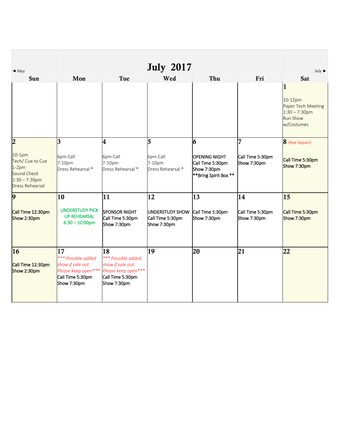| $\triangleleft$ May                                                                                  |                                                                                                         |                                                                                                         | <b>July 2017</b>                                          |                                                                                  |                                 | July $\blacktriangleright$                                                                         |
|------------------------------------------------------------------------------------------------------|---------------------------------------------------------------------------------------------------------|---------------------------------------------------------------------------------------------------------|-----------------------------------------------------------|----------------------------------------------------------------------------------|---------------------------------|----------------------------------------------------------------------------------------------------|
| Sun                                                                                                  | Mon                                                                                                     | Tue                                                                                                     | Wed                                                       | Thu                                                                              | Fri                             | Sat                                                                                                |
|                                                                                                      |                                                                                                         |                                                                                                         |                                                           |                                                                                  |                                 | $\mathbf{1}$<br>10-12pm<br>Paper Tech Meeting<br>$1:30 - 7:30$ pm<br><b>Run Show</b><br>w/Costumes |
| $\overline{2}$                                                                                       | 3                                                                                                       | 4                                                                                                       | 5                                                         | 6                                                                                | 7                               | 8 (Roe Depart)                                                                                     |
| $10-1pm$<br>Tech/ Cue to Cue<br>$1-2pm$<br>Sound Check<br>$2:30 - 7:30$ pm<br><b>Dress Rehearsal</b> | 6pm Call<br>7-10pm<br>Dress Rehearsal *                                                                 | 6pm Call<br>7-10pm<br>Dress Rehearsal *                                                                 | 6pm Call<br>7-10pm<br>Dress Rehearsal *                   | <b>OPENING NIGHT</b><br>Call Time 5:30pm<br>Show 7:30pm<br>**Bring Spirit Box ** | Call Time 5:30pm<br>Show 7:30pm | Call Time 5:30pm<br>Show 7:30pm                                                                    |
| 9                                                                                                    | 10                                                                                                      | 11                                                                                                      | 12                                                        | 13                                                                               | 14                              | 15                                                                                                 |
| Call Time 12:30pm<br>Show 2:30pm                                                                     | <b>UNDERSTUDY PICK</b><br><b>UP REHEARSAL</b><br>$6:30 - 10:00$ pm                                      | <b>SPONSOR NIGHT</b><br>Call Time 5:30pm<br>Show 7:30pm                                                 | <b>UNDERSTUDY SHOW</b><br>Call Time 5:30pm<br>Show 7:30pm | Call Time 5:30pm<br>Show 7:30pm                                                  | Call Time 5:30pm<br>Show 7:30pm | Call Time 5:30pm<br>Show 7:30pm                                                                    |
| 16<br>Call Time 12:30pm<br>Show 2:30pm                                                               | 17<br>*** Possible added<br>show if sale out.<br>Please keep open***<br>Call Time 5:30pm<br>Show 7:30pm | 18<br>*** Possible added<br>show if sale out.<br>Please keep open***<br>Call Time 5:30pm<br>Show 7:30pm | 19                                                        | 20                                                                               | 21                              | 22                                                                                                 |